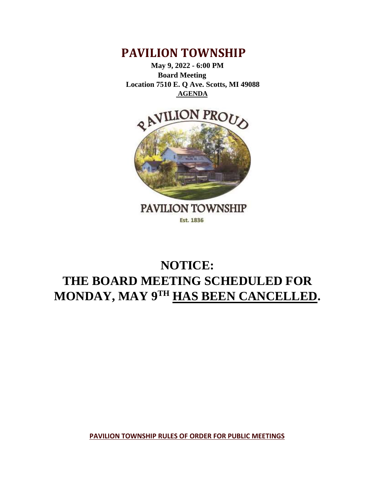

 **May 9, 2022 - 6:00 PM Board Meeting Location 7510 E. Q Ave. Scotts, MI 49088 AGENDA**



## **NOTICE: THE BOARD MEETING SCHEDULED FOR MONDAY, MAY 9TH HAS BEEN CANCELLED.**

**PAVILION TOWNSHIP RULES OF ORDER FOR PUBLIC MEETINGS**